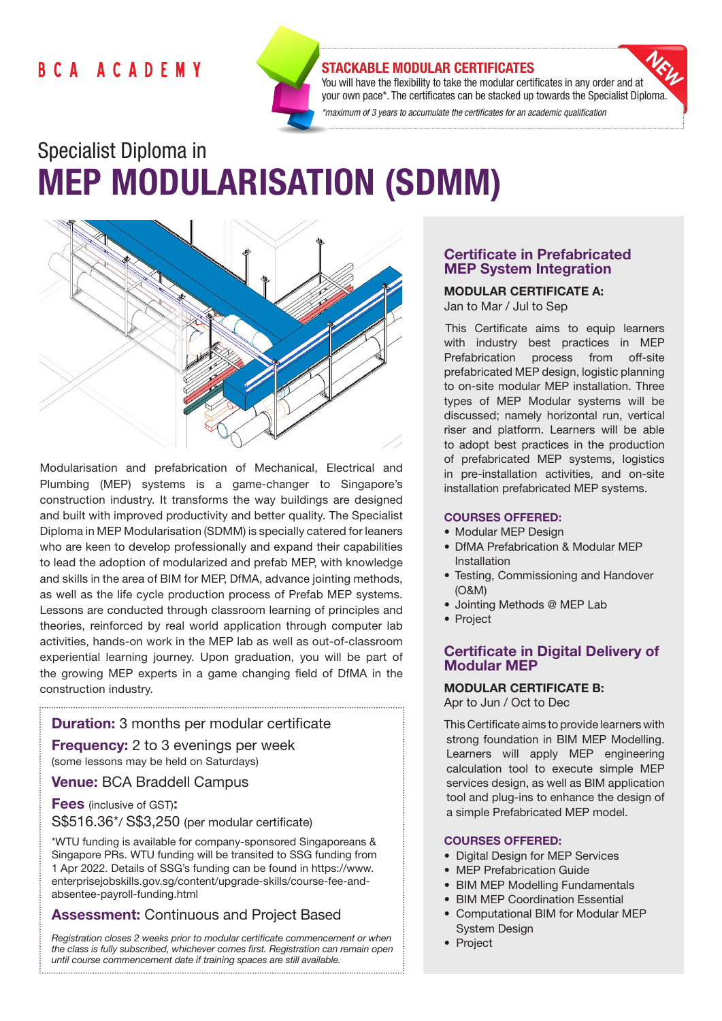# **BCA ACADEMY**



### STACKABLE MODULAR CERTIFICATES

You will have the flexibility to take the modular certificates in any order and at your own pace\*. The certificates can be stacked up towards the Specialist Diploma. *\*maximum of 3 years to accumulate the certificates for an academic qualification* 

# Specialist Diploma in MEP MODULARISATION (SDMM)



Modularisation and prefabrication of Mechanical, Electrical and Plumbing (MEP) systems is a game-changer to Singapore's construction industry. It transforms the way buildings are designed and built with improved productivity and better quality. The Specialist Diploma in MEP Modularisation (SDMM) is specially catered for leaners who are keen to develop professionally and expand their capabilities to lead the adoption of modularized and prefab MEP, with knowledge and skills in the area of BIM for MEP, DfMA, advance jointing methods, as well as the life cycle production process of Prefab MEP systems. Lessons are conducted through classroom learning of principles and theories, reinforced by real world application through computer lab activities, hands-on work in the MEP lab as well as out-of-classroom experiential learning journey. Upon graduation, you will be part of the growing MEP experts in a game changing field of DfMA in the construction industry.

### Duration: 3 months per modular certificate

**Frequency:** 2 to 3 evenings per week (some lessons may be held on Saturdays)

### Venue: BCA Braddell Campus

Fees (inclusive of GST): S\$516.36\*/ S\$3,250 (per modular certificate)

\*WTU funding is available for company-sponsored Singaporeans & Singapore PRs. WTU funding will be transited to SSG funding from 1 Apr 2022. Details of SSG's funding can be found in https://www. enterprisejobskills.gov.sg/content/upgrade-skills/course-fee-andabsentee-payroll-funding.html

# Assessment: Continuous and Project Based

*Registration closes 2 weeks prior to modular certificate commencement or when the class is fully subscribed, whichever comes first. Registration can remain open until course commencement date if training spaces are still available.*

# Certificate in Prefabricated MEP System Integration

MODULAR CERTIFICATE A: Jan to Mar / Jul to Sep

This Certificate aims to equip learners with industry best practices in MEP Prefabrication process from off-site prefabricated MEP design, logistic planning to on-site modular MEP installation. Three types of MEP Modular systems will be discussed; namely horizontal run, vertical riser and platform. Learners will be able to adopt best practices in the production of prefabricated MEP systems, logistics in pre-installation activities, and on-site installation prefabricated MEP systems.

### COURSES OFFERED:

- Modular MEP Design
- DfMA Prefabrication & Modular MEP Installation
- Testing, Commissioning and Handover (O&M)
- Jointing Methods @ MEP Lab
- Project

### Certificate in Digital Delivery of Modular MEP

# MODULAR CERTIFICATE B:

Apr to Jun / Oct to Dec

This Certificate aims to provide learners with strong foundation in BIM MEP Modelling. Learners will apply MEP engineering calculation tool to execute simple MEP services design, as well as BIM application tool and plug-ins to enhance the design of a simple Prefabricated MEP model.

### COURSES OFFERED:

- Digital Design for MEP Services
- MEP Prefabrication Guide
- BIM MEP Modelling Fundamentals
- BIM MEP Coordination Essential
- Computational BIM for Modular MEP System Design
- Project